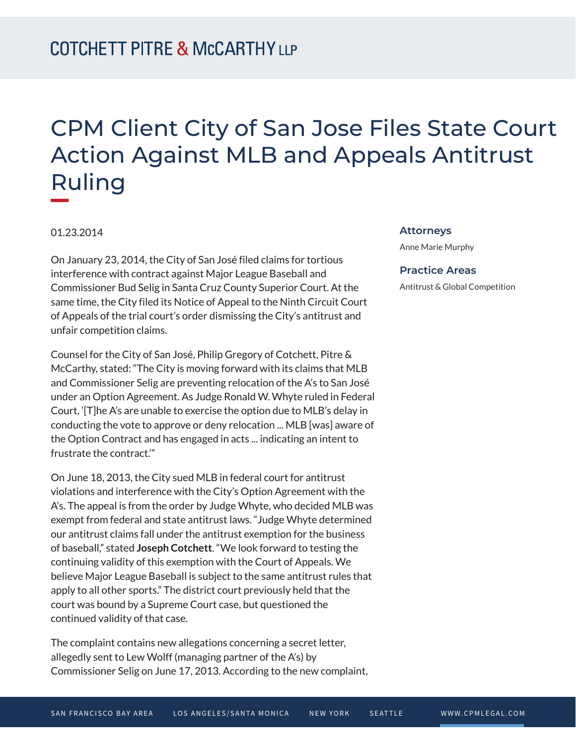## CPM Client City of San Jose Files State Court Action Against MLB and Appeals Antitrust Ruling

01.23.2014

On January 23, 2014, the City of San José filed claims for tortious interference with contract against Major League Baseball and Commissioner Bud Selig in Santa Cruz County Superior Court. At the same time, the City filed its Notice of Appeal to the Ninth Circuit Court of Appeals of the trial court's order dismissing the City's antitrust and unfair competition claims.

Counsel for the City of San José, Philip Gregory of Cotchett, Pitre & McCarthy, stated: "The City is moving forward with its claims that MLB and Commissioner Selig are preventing relocation of the A's to San José under an Option Agreement. As Judge Ronald W. Whyte ruled in Federal Court, '[T]he A's are unable to exercise the option due to MLB's delay in conducting the vote to approve or deny relocation ... MLB [was] aware of the Option Contract and has engaged in acts ... indicating an intent to frustrate the contract.'"

On June 18, 2013, the City sued MLB in federal court for antitrust violations and interference with the City's Option Agreement with the A's. The appeal is from the order by Judge Whyte, who decided MLB was exempt from federal and state antitrust laws. "Judge Whyte determined our antitrust claims fall under the antitrust exemption for the business of baseball," stated **Joseph Cotchett**. "We look forward to testing the continuing validity of this exemption with the Court of Appeals. We believe Major League Baseball is subject to the same antitrust rules that apply to all other sports." The district court previously held that the court was bound by a Supreme Court case, but questioned the continued validity of that case.

The complaint contains new allegations concerning a secret letter, allegedly sent to Lew Wolff (managing partner of the A's) by Commissioner Selig on June 17, 2013. According to the new complaint,

## **Attorneys**

Anne Marie Murphy

## **Practice Areas**

Antitrust & Global Competition